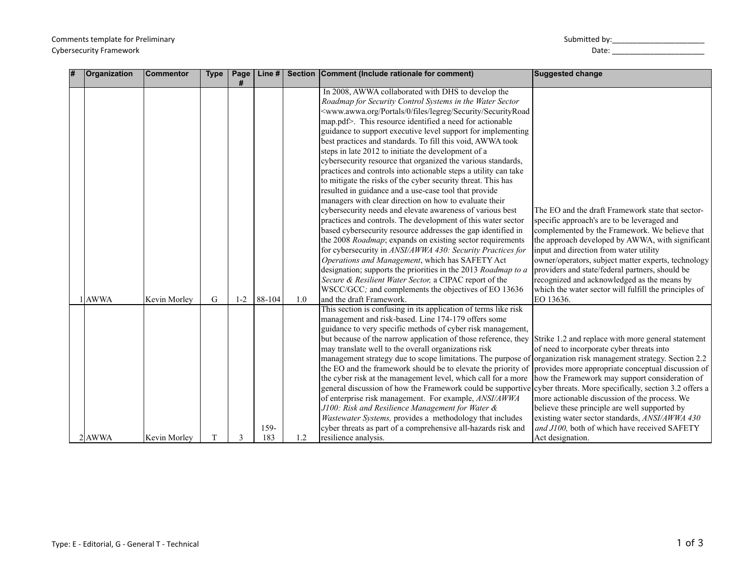| # | <b>Organization</b> | <b>Commentor</b> | <b>Type</b> | Page    | Line $#$    |     | Section Comment (Include rationale for comment)                                                                                                                                                                                                                                                                                                                                                                                                                                                                                                                                                                                                                                                                                                                                                                                                                                                                                                                                                                                                                                                                                                                                                                                                                                                                                                                                                         | <b>Suggested change</b>                                                                                                                                                                                                                                                                                                                                                                                                                                                                                                                         |
|---|---------------------|------------------|-------------|---------|-------------|-----|---------------------------------------------------------------------------------------------------------------------------------------------------------------------------------------------------------------------------------------------------------------------------------------------------------------------------------------------------------------------------------------------------------------------------------------------------------------------------------------------------------------------------------------------------------------------------------------------------------------------------------------------------------------------------------------------------------------------------------------------------------------------------------------------------------------------------------------------------------------------------------------------------------------------------------------------------------------------------------------------------------------------------------------------------------------------------------------------------------------------------------------------------------------------------------------------------------------------------------------------------------------------------------------------------------------------------------------------------------------------------------------------------------|-------------------------------------------------------------------------------------------------------------------------------------------------------------------------------------------------------------------------------------------------------------------------------------------------------------------------------------------------------------------------------------------------------------------------------------------------------------------------------------------------------------------------------------------------|
|   | <b>AWWA</b>         | Kevin Morley     | G           | $1 - 2$ | $88-104$    | 1.0 | In 2008, AWWA collaborated with DHS to develop the<br>Roadmap for Security Control Systems in the Water Sector<br><www.awwa.org 0="" files="" legreg="" portals="" security="" securityroad<br="">map.pdf&gt;. This resource identified a need for actionable<br/>guidance to support executive level support for implementing<br/>best practices and standards. To fill this void, AWWA took<br/>steps in late 2012 to initiate the development of a<br/>cybersecurity resource that organized the various standards,<br/>practices and controls into actionable steps a utility can take<br/>to mitigate the risks of the cyber security threat. This has<br/>resulted in guidance and a use-case tool that provide<br/>managers with clear direction on how to evaluate their<br/>cybersecurity needs and elevate awareness of various best<br/>practices and controls. The development of this water sector<br/>based cybersecurity resource addresses the gap identified in<br/>the 2008 Roadmap; expands on existing sector requirements<br/>for cybersecurity in ANSI/AWWA 430: Security Practices for<br/>Operations and Management, which has SAFETY Act<br/>designation; supports the priorities in the 2013 Roadmap to a<br/>Secure &amp; Resilient Water Sector, a CIPAC report of the<br/>WSCC/GCC; and complements the objectives of EO 13636<br/>and the draft Framework.</www.awwa.org> | The EO and the draft Framework state that sector-<br>specific approach's are to be leveraged and<br>complemented by the Framework. We believe that<br>the approach developed by AWWA, with significant<br>input and direction from water utility<br>owner/operators, subject matter experts, technology<br>providers and state/federal partners, should be<br>recognized and acknowledged as the means by<br>which the water sector will fulfill the principles of<br>EO 13636.                                                                 |
|   | 2 AWWA              | Kevin Morlev     | T           | 3       | 159-<br>183 | 1.2 | This section is confusing in its application of terms like risk<br>management and risk-based. Line 174-179 offers some<br>guidance to very specific methods of cyber risk management,<br>but because of the narrow application of those reference, they<br>may translate well to the overall organizations risk<br>management strategy due to scope limitations. The purpose of<br>the EO and the framework should be to elevate the priority of<br>the cyber risk at the management level, which call for a more<br>general discussion of how the Framework could be supportive<br>of enterprise risk management. For example, ANSI/AWWA<br>J100: Risk and Resilience Management for Water &<br>Wastewater Systems, provides a methodology that includes<br>cyber threats as part of a comprehensive all-hazards risk and<br>resilience analysis.                                                                                                                                                                                                                                                                                                                                                                                                                                                                                                                                                      | Strike 1.2 and replace with more general statement<br>of need to incorporate cyber threats into<br>organization risk management strategy. Section 2.2<br>provides more appropriate conceptual discussion of<br>how the Framework may support consideration of<br>cyber threats. More specifically, section 3.2 offers a<br>more actionable discussion of the process. We<br>believe these principle are well supported by<br>existing water sector standards, ANSI/AWWA 430<br>and J100, both of which have received SAFETY<br>Act designation. |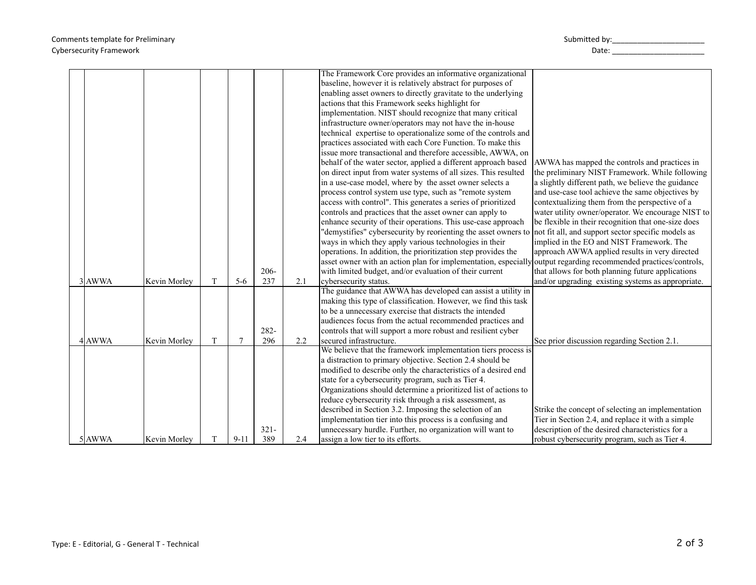| 3 AWWA | Kevin Morley | T | $5-6$    | $206 -$<br>237 |            | The Framework Core provides an informative organizational<br>baseline, however it is relatively abstract for purposes of<br>enabling asset owners to directly gravitate to the underlying<br>actions that this Framework seeks highlight for<br>implementation. NIST should recognize that many critical<br>infrastructure owner/operators may not have the in-house<br>technical expertise to operationalize some of the controls and<br>practices associated with each Core Function. To make this<br>issue more transactional and therefore accessible, AWWA, on<br>behalf of the water sector, applied a different approach based<br>on direct input from water systems of all sizes. This resulted<br>in a use-case model, where by the asset owner selects a<br>process control system use type, such as "remote system<br>access with control". This generates a series of prioritized<br>controls and practices that the asset owner can apply to<br>enhance security of their operations. This use-case approach<br>"demystifies" cybersecurity by reorienting the asset owners to<br>ways in which they apply various technologies in their<br>operations. In addition, the prioritization step provides the<br>asset owner with an action plan for implementation, especially output regarding recommended practices/controls,<br>with limited budget, and/or evaluation of their current | AWWA has mapped the controls and practices in<br>the preliminary NIST Framework. While following<br>a slightly different path, we believe the guidance<br>and use-case tool achieve the same objectives by<br>contextualizing them from the perspective of a<br>water utility owner/operator. We encourage NIST to<br>be flexible in their recognition that one-size does<br>not fit all, and support sector specific models as<br>implied in the EO and NIST Framework. The<br>approach AWWA applied results in very directed<br>that allows for both planning future applications |
|--------|--------------|---|----------|----------------|------------|------------------------------------------------------------------------------------------------------------------------------------------------------------------------------------------------------------------------------------------------------------------------------------------------------------------------------------------------------------------------------------------------------------------------------------------------------------------------------------------------------------------------------------------------------------------------------------------------------------------------------------------------------------------------------------------------------------------------------------------------------------------------------------------------------------------------------------------------------------------------------------------------------------------------------------------------------------------------------------------------------------------------------------------------------------------------------------------------------------------------------------------------------------------------------------------------------------------------------------------------------------------------------------------------------------------------------------------------------------------------------------------------------|-------------------------------------------------------------------------------------------------------------------------------------------------------------------------------------------------------------------------------------------------------------------------------------------------------------------------------------------------------------------------------------------------------------------------------------------------------------------------------------------------------------------------------------------------------------------------------------|
| 4 AWWA | Kevin Morley | T |          | $282 -$<br>296 | 2.1<br>2.2 | cybersecurity status.<br>The guidance that AWWA has developed can assist a utility in<br>making this type of classification. However, we find this task<br>to be a unnecessary exercise that distracts the intended<br>audiences focus from the actual recommended practices and<br>controls that will support a more robust and resilient cyber<br>secured infrastructure.                                                                                                                                                                                                                                                                                                                                                                                                                                                                                                                                                                                                                                                                                                                                                                                                                                                                                                                                                                                                                          | and/or upgrading existing systems as appropriate.<br>See prior discussion regarding Section 2.1.                                                                                                                                                                                                                                                                                                                                                                                                                                                                                    |
| 5 AWWA | Kevin Morlev | T | $9 - 11$ | $321 -$<br>389 | 2.4        | We believe that the framework implementation tiers process is<br>a distraction to primary objective. Section 2.4 should be<br>modified to describe only the characteristics of a desired end<br>state for a cybersecurity program, such as Tier 4.<br>Organizations should determine a prioritized list of actions to<br>reduce cybersecurity risk through a risk assessment, as<br>described in Section 3.2. Imposing the selection of an<br>implementation tier into this process is a confusing and<br>unnecessary hurdle. Further, no organization will want to<br>assign a low tier to its efforts.                                                                                                                                                                                                                                                                                                                                                                                                                                                                                                                                                                                                                                                                                                                                                                                             | Strike the concept of selecting an implementation<br>Tier in Section 2.4, and replace it with a simple<br>description of the desired characteristics for a<br>robust cybersecurity program, such as Tier 4.                                                                                                                                                                                                                                                                                                                                                                         |